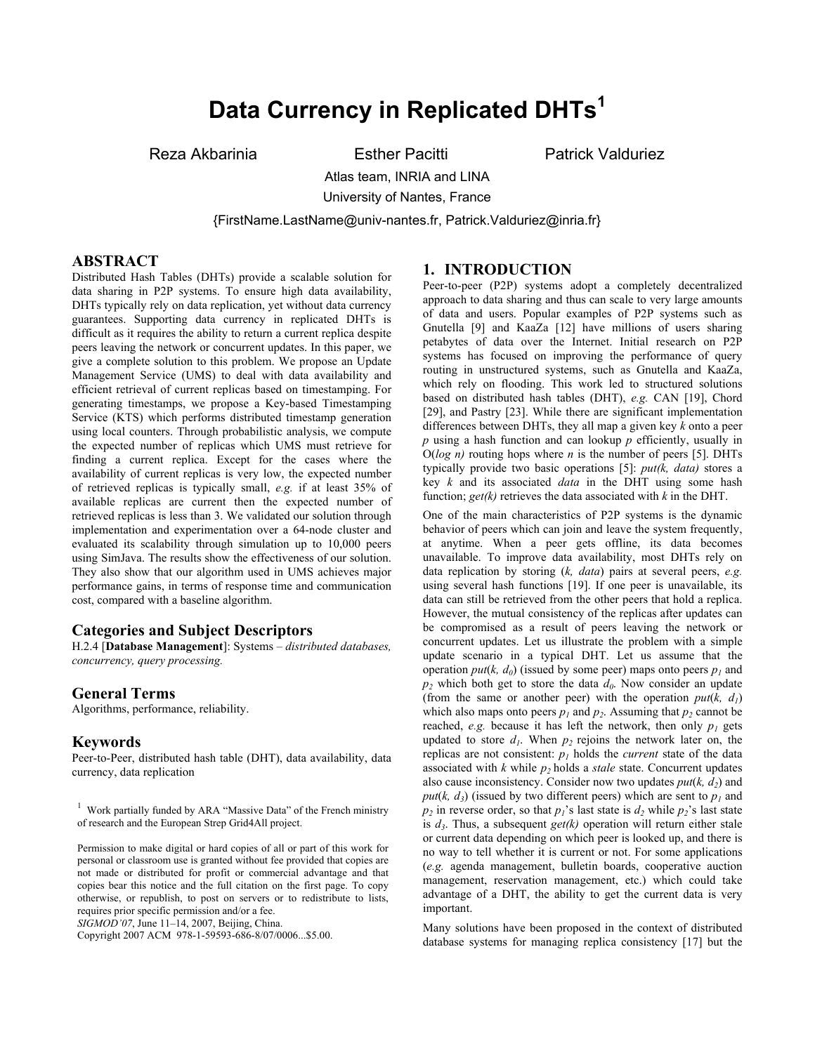# **Data Currency in Replicated DHTs<sup>1</sup>**

Reza Akbarinia Esther Pacitti Patrick Valduriez

Atlas team, INRIA and LINA University of Nantes, France

{FirstName.LastName@univ-nantes.fr, Patrick.Valduriez@inria.fr}

#### **ABSTRACT**

Distributed Hash Tables (DHTs) provide a scalable solution for data sharing in P2P systems. To ensure high data availability, DHTs typically rely on data replication, yet without data currency guarantees. Supporting data currency in replicated DHTs is difficult as it requires the ability to return a current replica despite peers leaving the network or concurrent updates. In this paper, we give a complete solution to this problem. We propose an Update Management Service (UMS) to deal with data availability and efficient retrieval of current replicas based on timestamping. For generating timestamps, we propose a Key-based Timestamping Service (KTS) which performs distributed timestamp generation using local counters. Through probabilistic analysis, we compute the expected number of replicas which UMS must retrieve for finding a current replica. Except for the cases where the availability of current replicas is very low, the expected number of retrieved replicas is typically small, *e.g.* if at least 35% of available replicas are current then the expected number of retrieved replicas is less than 3. We validated our solution through implementation and experimentation over a 64-node cluster and evaluated its scalability through simulation up to 10,000 peers using SimJava. The results show the effectiveness of our solution. They also show that our algorithm used in UMS achieves major performance gains, in terms of response time and communication cost, compared with a baseline algorithm.

## **Categories and Subject Descriptors**

H.2.4 [**Database Management**]: Systems – *distributed databases, concurrency, query processing.* 

#### **General Terms**

Algorithms, performance, reliability.

## **Keywords**

Peer-to-Peer, distributed hash table (DHT), data availability, data currency, data replication

*SIGMOD'07*, June 11–14, 2007, Beijing, China.

# **1. INTRODUCTION**

Peer-to-peer (P2P) systems adopt a completely decentralized approach to data sharing and thus can scale to very large amounts of data and users. Popular examples of P2P systems such as Gnutella [9] and KaaZa [12] have millions of users sharing petabytes of data over the Internet. Initial research on P2P systems has focused on improving the performance of query routing in unstructured systems, such as Gnutella and KaaZa, which rely on flooding. This work led to structured solutions based on distributed hash tables (DHT), *e.g.* CAN [19], Chord [29], and Pastry [23]. While there are significant implementation differences between DHTs, they all map a given key *k* onto a peer *p* using a hash function and can lookup *p* efficiently, usually in  $O(log n)$  routing hops where *n* is the number of peers [5]. DHTs typically provide two basic operations [5]: *put(k, data)* stores a key *k* and its associated *data* in the DHT using some hash function; *get(k)* retrieves the data associated with *k* in the DHT.

One of the main characteristics of P2P systems is the dynamic behavior of peers which can join and leave the system frequently, at anytime. When a peer gets offline, its data becomes unavailable. To improve data availability, most DHTs rely on data replication by storing (*k, data*) pairs at several peers, *e.g.* using several hash functions [19]. If one peer is unavailable, its data can still be retrieved from the other peers that hold a replica. However, the mutual consistency of the replicas after updates can be compromised as a result of peers leaving the network or concurrent updates. Let us illustrate the problem with a simple update scenario in a typical DHT. Let us assume that the operation *put*( $k$ ,  $d_0$ ) (issued by some peer) maps onto peers  $p_1$  and  $p_2$  which both get to store the data  $d_0$ . Now consider an update (from the same or another peer) with the operation  $put(k, d_1)$ which also maps onto peers  $p_1$  and  $p_2$ . Assuming that  $p_2$  cannot be reached, *e.g.* because it has left the network, then only  $p_1$  gets updated to store  $d_1$ . When  $p_2$  rejoins the network later on, the replicas are not consistent:  $p_l$  holds the *current* state of the data associated with  $k$  while  $p_2$  holds a *stale* state. Concurrent updates also cause inconsistency. Consider now two updates  $put(k, d_2)$  and *put*( $k$ ,  $d_3$ ) (issued by two different peers) which are sent to  $p_1$  and  $p_2$  in reverse order, so that  $p_1$ 's last state is  $d_2$  while  $p_2$ 's last state is  $d_3$ . Thus, a subsequent *get(k)* operation will return either stale or current data depending on which peer is looked up, and there is no way to tell whether it is current or not. For some applications (*e.g.* agenda management, bulletin boards, cooperative auction management, reservation management, etc.) which could take advantage of a DHT, the ability to get the current data is very important.

Many solutions have been proposed in the context of distributed database systems for managing replica consistency [17] but the

<sup>&</sup>lt;sup>1</sup> Work partially funded by ARA "Massive Data" of the French ministry of research and the European Strep Grid4All project.

Permission to make digital or hard copies of all or part of this work for personal or classroom use is granted without fee provided that copies are not made or distributed for profit or commercial advantage and that copies bear this notice and the full citation on the first page. To copy otherwise, or republish, to post on servers or to redistribute to lists, requires prior specific permission and/or a fee.

Copyright 2007 ACM 978-1-59593-686-8/07/0006...\$5.00.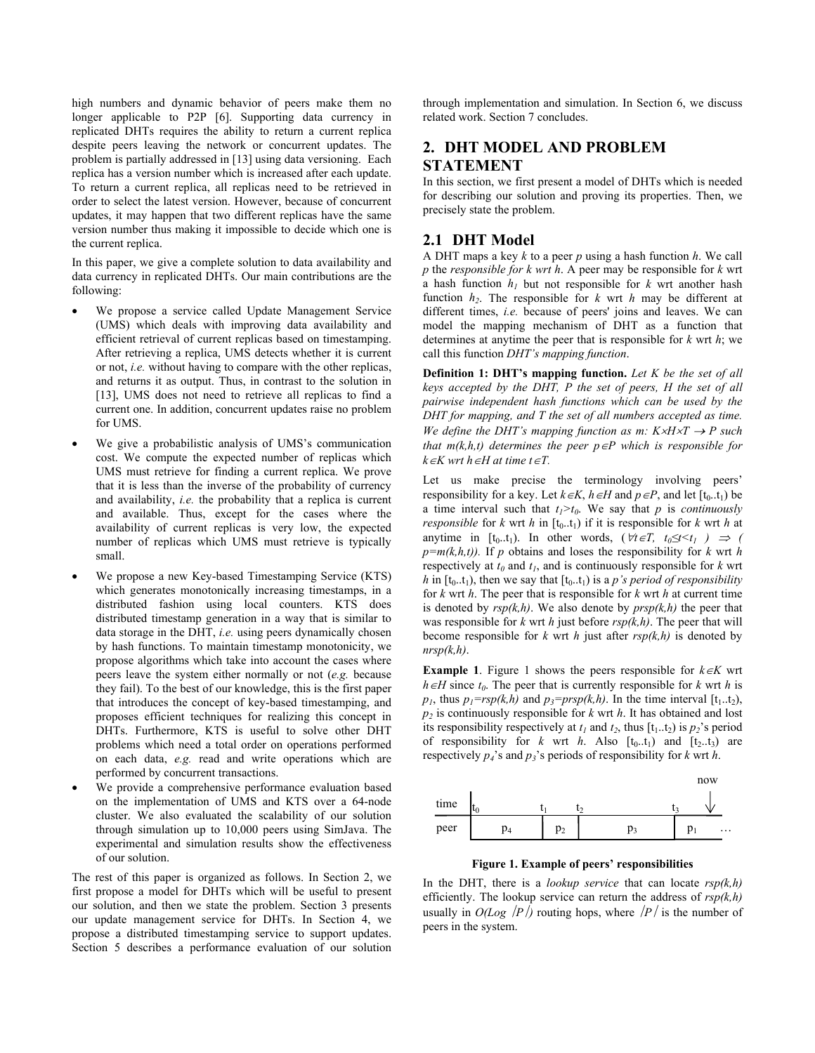high numbers and dynamic behavior of peers make them no longer applicable to P2P [6]. Supporting data currency in replicated DHTs requires the ability to return a current replica despite peers leaving the network or concurrent updates. The problem is partially addressed in [13] using data versioning. Each replica has a version number which is increased after each update. To return a current replica, all replicas need to be retrieved in order to select the latest version. However, because of concurrent updates, it may happen that two different replicas have the same version number thus making it impossible to decide which one is the current replica.

In this paper, we give a complete solution to data availability and data currency in replicated DHTs. Our main contributions are the following:

- We propose a service called Update Management Service (UMS) which deals with improving data availability and efficient retrieval of current replicas based on timestamping. After retrieving a replica, UMS detects whether it is current or not, *i.e.* without having to compare with the other replicas, and returns it as output. Thus, in contrast to the solution in [13], UMS does not need to retrieve all replicas to find a current one. In addition, concurrent updates raise no problem for UMS.
- We give a probabilistic analysis of UMS's communication cost. We compute the expected number of replicas which UMS must retrieve for finding a current replica. We prove that it is less than the inverse of the probability of currency and availability, *i.e.* the probability that a replica is current and available. Thus, except for the cases where the availability of current replicas is very low, the expected number of replicas which UMS must retrieve is typically small.
- We propose a new Key-based Timestamping Service (KTS) which generates monotonically increasing timestamps, in a distributed fashion using local counters. KTS does distributed timestamp generation in a way that is similar to data storage in the DHT, *i.e.* using peers dynamically chosen by hash functions. To maintain timestamp monotonicity, we propose algorithms which take into account the cases where peers leave the system either normally or not (*e.g.* because they fail). To the best of our knowledge, this is the first paper that introduces the concept of key-based timestamping, and proposes efficient techniques for realizing this concept in DHTs. Furthermore, KTS is useful to solve other DHT problems which need a total order on operations performed on each data, *e.g.* read and write operations which are performed by concurrent transactions.
- We provide a comprehensive performance evaluation based on the implementation of UMS and KTS over a 64-node cluster. We also evaluated the scalability of our solution through simulation up to 10,000 peers using SimJava. The experimental and simulation results show the effectiveness of our solution.

The rest of this paper is organized as follows. In Section 2, we first propose a model for DHTs which will be useful to present our solution, and then we state the problem. Section 3 presents our update management service for DHTs. In Section 4, we propose a distributed timestamping service to support updates. Section 5 describes a performance evaluation of our solution

through implementation and simulation. In Section 6, we discuss related work. Section 7 concludes.

# **2. DHT MODEL AND PROBLEM STATEMENT**

In this section, we first present a model of DHTs which is needed for describing our solution and proving its properties. Then, we precisely state the problem.

# **2.1 DHT Model**

A DHT maps a key *k* to a peer *p* using a hash function *h*. We call *p* the *responsible for k wrt h*. A peer may be responsible for *k* wrt a hash function  $h_1$  but not responsible for  $k$  wrt another hash function  $h_2$ . The responsible for  $k$  wrt  $h$  may be different at different times, *i.e.* because of peers' joins and leaves. We can model the mapping mechanism of DHT as a function that determines at anytime the peer that is responsible for *k* wrt *h*; we call this function *DHT's mapping function*.

**Definition 1: DHT's mapping function.** *Let K be the set of all keys accepted by the DHT, P the set of peers, H the set of all pairwise independent hash functions which can be used by the DHT for mapping, and T the set of all numbers accepted as time. We define the DHT's mapping function as m:*  $K \times H \times T \rightarrow P$  *such that m(k,h,t) determines the peer*  $p ∈ P$  *which is responsible for k*∈*K wrt h*∈*H at time t*∈*T.*

Let us make precise the terminology involving peers' responsibility for a key. Let  $k \in K$ ,  $h \in H$  and  $p \in P$ , and let  $[t_0..t_1]$  be a time interval such that  $t_1 > t_0$ . We say that *p* is *continuously responsible* for *k* wrt *h* in  $[t_0, t_1)$  if it is responsible for *k* wrt *h* at anytime in  $[t_0..t_1)$ . In other words,  $(\forall t \in T, t_0 \leq t < t_1) \Rightarrow$  (  $p=m(k,h,t)$ . If *p* obtains and loses the responsibility for *k* wrt *h* respectively at  $t_0$  and  $t_1$ , and is continuously responsible for  $k$  wrt *h* in  $[t_0..t_1)$ , then we say that  $[t_0..t_1)$  is a *p*'s period of responsibility for *k* wrt *h*. The peer that is responsible for *k* wrt *h* at current time is denoted by  $rsp(k,h)$ . We also denote by  $prsp(k,h)$  the peer that was responsible for *k* wrt *h* just before *rsp(k,h)*. The peer that will become responsible for  $k$  wrt  $h$  just after  $rsp(k,h)$  is denoted by *nrsp(k,h)*.

**Example 1.** Figure 1 shows the peers responsible for  $k \in K$  wrt  $h ∈ H$  since  $t_0$ . The peer that is currently responsible for *k* wrt *h* is  $p_1$ , thus  $p_1 = rsp(k,h)$  and  $p_3 = prsp(k,h)$ . In the time interval [t<sub>1</sub>..t<sub>2</sub>],  $p<sub>2</sub>$  is continuously responsible for *k* wrt *h*. It has obtained and lost its responsibility respectively at  $t_1$  and  $t_2$ , thus  $[t_1..t_2]$  is  $p_2$ 's period of responsibility for  $k$  wrt  $h$ . Also  $[t_0..t_1]$  and  $[t_2..t_3]$  are respectively  $p_4$ 's and  $p_3$ 's periods of responsibility for *k* wrt *h*.



**Figure 1. Example of peers' responsibilities** 

In the DHT, there is a *lookup service* that can locate *rsp(k,h)* efficiently. The lookup service can return the address of *rsp(k,h)* usually in  $O(Log / P)$  routing hops, where  $\frac{P}{P}$  is the number of peers in the system.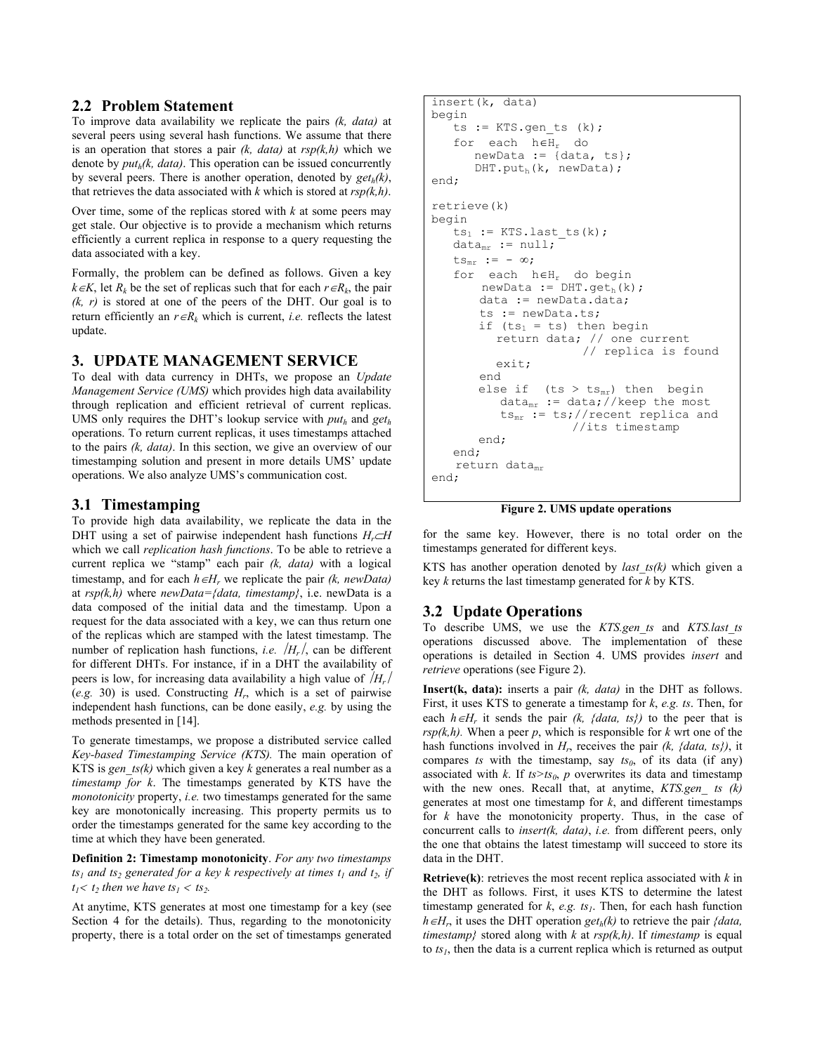#### **2.2 Problem Statement**

To improve data availability we replicate the pairs *(k, data)* at several peers using several hash functions. We assume that there is an operation that stores a pair *(k, data)* at *rsp(k,h)* which we denote by  $put<sub>b</sub>(k, data)$ . This operation can be issued concurrently by several peers. There is another operation, denoted by  $get<sub>h</sub>(k)$ , that retrieves the data associated with  $k$  which is stored at  $rsp(k,h)$ .

Over time, some of the replicas stored with *k* at some peers may get stale. Our objective is to provide a mechanism which returns efficiently a current replica in response to a query requesting the data associated with a key.

Formally, the problem can be defined as follows. Given a key  $k ∈ K$ , let  $R_k$  be the set of replicas such that for each  $r ∈ R_k$ , the pair *(k, r)* is stored at one of the peers of the DHT. Our goal is to return efficiently an  $r \in R_k$  which is current, *i.e.* reflects the latest update.

## **3. UPDATE MANAGEMENT SERVICE**

To deal with data currency in DHTs, we propose an *Update Management Service (UMS)* which provides high data availability through replication and efficient retrieval of current replicas. UMS only requires the DHT's lookup service with *puth* and *geth* operations. To return current replicas, it uses timestamps attached to the pairs *(k, data)*. In this section, we give an overview of our timestamping solution and present in more details UMS' update operations. We also analyze UMS's communication cost.

## **3.1 Timestamping**

To provide high data availability, we replicate the data in the DHT using a set of pairwise independent hash functions *H<sub>r</sub>*⊂*H* which we call *replication hash functions*. To be able to retrieve a current replica we "stamp" each pair *(k, data)* with a logical timestamp, and for each  $h \in H_r$  we replicate the pair  $(k, newData)$ at *rsp(k,h)* where *newData={data, timestamp}*, i.e. newData is a data composed of the initial data and the timestamp. Upon a request for the data associated with a key, we can thus return one of the replicas which are stamped with the latest timestamp. The number of replication hash functions, *i.e.*  $/H_r$ , can be different for different DHTs. For instance, if in a DHT the availability of peers is low, for increasing data availability a high value of  $/H_r/$ (*e.g.* 30) is used. Constructing *Hr*, which is a set of pairwise independent hash functions, can be done easily, *e.g.* by using the methods presented in [14].

To generate timestamps, we propose a distributed service called *Key-based Timestamping Service (KTS).* The main operation of KTS is *gen\_ts(k)* which given a key *k* generates a real number as a *timestamp for k*. The timestamps generated by KTS have the *monotonicity* property, *i.e.* two timestamps generated for the same key are monotonically increasing. This property permits us to order the timestamps generated for the same key according to the time at which they have been generated.

**Definition 2: Timestamp monotonicity**. *For any two timestamps*   $ts_1$  and  $ts_2$  generated for a key k respectively at times  $t_1$  and  $t_2$ , if  $t_1$   $lt; t_2$  then we have  $ts_1$   $lt; ts_2$ .

At anytime, KTS generates at most one timestamp for a key (see Section 4 for the details). Thus, regarding to the monotonicity property, there is a total order on the set of timestamps generated

```
insert(k, data) 
begin 
   ts := KTS.gen ts (k);
    for each h∈Hr do 
        newData := {data, ts}; 
       DHT.put<sub>h</sub>(k, newData);end; 
retrieve(k) 
begin 
   ts_1 := KTS.Last ts(k);data_{mr} := null;ts_{mr} := -\infty; for each h∈Hr do begin 
        newData := DHT.get<sub>h</sub>(k); data := newData.data; 
         ts := newData.ts; 
        if (ts<sub>1</sub> = ts) then begin
           return data; // one current 
                          // replica is found 
            exit; 
         end 
        else if (ts > ts_{mr}) then begin
           data_{\text{mr}} := data; //keep the most
           ts_{mr} := ts; // recent replica and
                        //its timestamp 
        end; 
    end; 
   return datamr 
end;
```
**Figure 2. UMS update operations** 

for the same key. However, there is no total order on the timestamps generated for different keys.

KTS has another operation denoted by *last\_ts(k)* which given a key *k* returns the last timestamp generated for *k* by KTS.

# **3.2 Update Operations**

To describe UMS, we use the *KTS.gen\_ts* and *KTS.last\_ts* operations discussed above. The implementation of these operations is detailed in Section 4. UMS provides *insert* and *retrieve* operations (see Figure 2).

**Insert(k, data):** inserts a pair *(k, data)* in the DHT as follows. First, it uses KTS to generate a timestamp for *k*, *e.g. ts*. Then, for each  $h \in H_r$  it sends the pair  $(k, \{data, ts\})$  to the peer that is  $rsp(k,h)$ . When a peer p, which is responsible for  $k$  wrt one of the hash functions involved in  $H_r$ , receives the pair *(k, {data, ts})*, it compares *ts* with the timestamp, say  $ts_0$ , of its data (if any) associated with *k*. If  $ts > ts_0$ , *p* overwrites its data and timestamp with the new ones. Recall that, at anytime, *KTS.gen\_ ts (k)* generates at most one timestamp for *k*, and different timestamps for *k* have the monotonicity property. Thus, in the case of concurrent calls to *insert(k, data)*, *i.e.* from different peers, only the one that obtains the latest timestamp will succeed to store its data in the DHT.

**Retrieve(k)**: retrieves the most recent replica associated with *k* in the DHT as follows. First, it uses KTS to determine the latest timestamp generated for  $k$ ,  $e.g.$   $ts<sub>1</sub>$ . Then, for each hash function  $h \in H_r$ , it uses the DHT operation  $get_h(k)$  to retrieve the pair *{data, timestamp*} stored along with *k* at  $rsp(k,h)$ . If *timestamp* is equal to  $ts_1$ , then the data is a current replica which is returned as output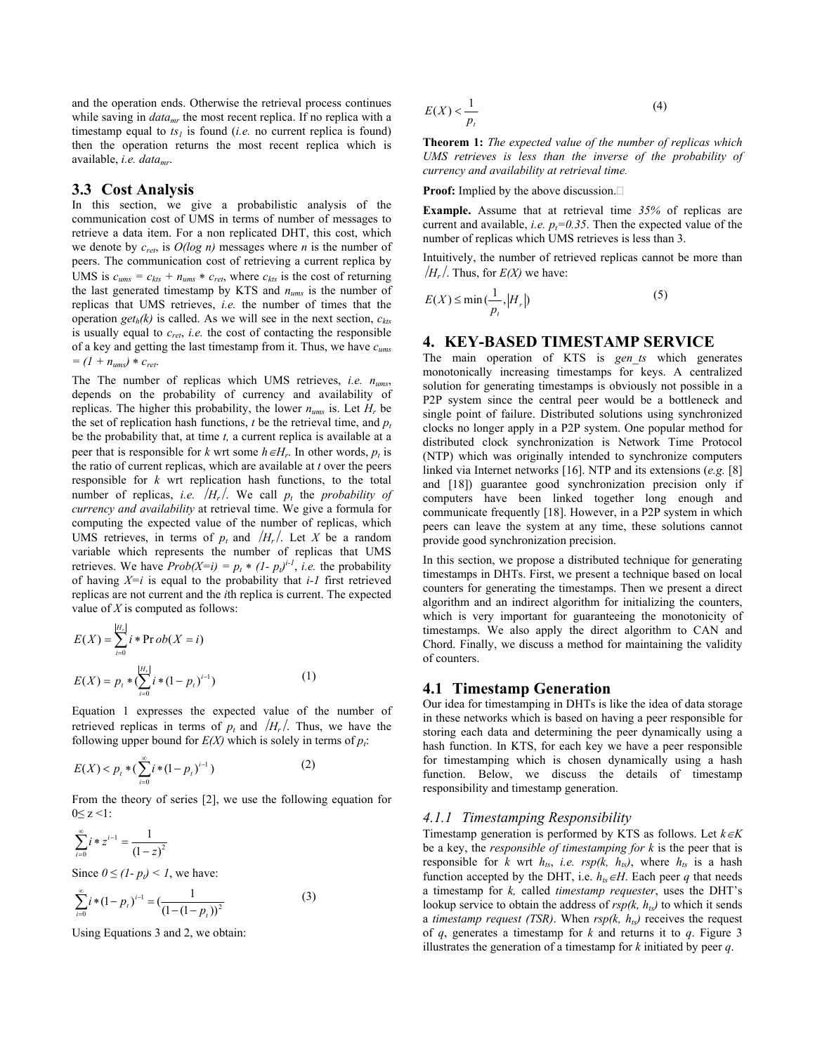and the operation ends. Otherwise the retrieval process continues while saving in *data<sub>mr</sub>* the most recent replica. If no replica with a timestamp equal to  $ts<sub>l</sub>$  is found (*i.e.* no current replica is found) then the operation returns the most recent replica which is available, *i.e. datamr*.

#### **3.3 Cost Analysis**

In this section, we give a probabilistic analysis of the communication cost of UMS in terms of number of messages to retrieve a data item. For a non replicated DHT, this cost, which we denote by *cret*, is *O(log n)* messages where *n* is the number of peers. The communication cost of retrieving a current replica by UMS is  $c_{ums} = c_{kts} + n_{ums} * c_{ret}$ , where  $c_{kts}$  is the cost of returning the last generated timestamp by KTS and *nums* is the number of replicas that UMS retrieves, *i.e.* the number of times that the operation *get<sub>h</sub>*(k) is called. As we will see in the next section,  $c_{kts}$ is usually equal to *cret*, *i.e.* the cost of contacting the responsible of a key and getting the last timestamp from it. Thus, we have *cums*  $= (1 + n_{\text{rms}}) * c_{\text{rot}}.$ 

The The number of replicas which UMS retrieves, *i.e. nums*, depends on the probability of currency and availability of replicas. The higher this probability, the lower  $n_{ums}$  is. Let  $H_r$  be the set of replication hash functions,  $t$  be the retrieval time, and  $p_t$ be the probability that, at time *t,* a current replica is available at a peer that is responsible for *k* wrt some  $h \in H_r$ . In other words,  $p_t$  is the ratio of current replicas, which are available at *t* over the peers responsible for *k* wrt replication hash functions, to the total number of replicas, *i.e.*  $H_r$ . We call  $p_t$  the *probability of currency and availability* at retrieval time. We give a formula for computing the expected value of the number of replicas, which UMS retrieves, in terms of  $p_t$  and  $/H_r$ . Let X be a random variable which represents the number of replicas that UMS retrieves. We have  $Prob(X=i) = p_t * (1-p_t)^{i-1}$ , *i.e.* the probability of having  $X=i$  is equal to the probability that *i-1* first retrieved replicas are not current and the *i*th replica is current. The expected value of *X* is computed as follows:

$$
E(X) = \sum_{i=0}^{|H_r|} i * \text{Pr } ob(X = i)
$$
  

$$
E(X) = p_t * (\sum_{i=0}^{|H_r|} i * (1 - p_t)^{i-1})
$$
 (1)

Equation 1 expresses the expected value of the number of retrieved replicas in terms of  $p_t$  and  $/H_r/$ . Thus, we have the following upper bound for  $E(X)$  which is solely in terms of  $p_t$ .

$$
E(X) < p_t * \left( \sum_{i=0}^{\infty} i * (1 - p_t)^{i-1} \right) \tag{2}
$$

From the theory of series [2], we use the following equation for 0≤ z <1:

$$
\sum_{i=0}^{\infty} i * z^{i-1} = \frac{1}{(1-z)^2}
$$

Since  $0 \le (1-p_t) \le 1$ , we have:

$$
\sum_{i=0}^{\infty} i * (1 - p_i)^{i-1} = \left(\frac{1}{(1 - (1 - p_i))^2}\right)
$$
 (3)

Using Equations 3 and 2, we obtain:

$$
E(X) < \frac{1}{p_t} \tag{4}
$$

**Theorem 1:** *The expected value of the number of replicas which UMS retrieves is less than the inverse of the probability of currency and availability at retrieval time.*

**Proof:** Implied by the above discussion.

**Example.** Assume that at retrieval time *35%* of replicas are current and available, *i.e.*  $p_f = 0.35$ . Then the expected value of the number of replicas which UMS retrieves is less than 3.

Intuitively, the number of retrieved replicas cannot be more than  $/H_r$ . Thus, for  $E(X)$  we have:

$$
E(X) \le \min\left(\frac{1}{p_t}, |H_r|\right) \tag{5}
$$

#### **4. KEY-BASED TIMESTAMP SERVICE**

The main operation of KTS is *gen\_ts* which generates monotonically increasing timestamps for keys. A centralized solution for generating timestamps is obviously not possible in a P2P system since the central peer would be a bottleneck and single point of failure. Distributed solutions using synchronized clocks no longer apply in a P2P system. One popular method for distributed clock synchronization is Network Time Protocol (NTP) which was originally intended to synchronize computers linked via Internet networks [16]. NTP and its extensions (*e.g.* [8] and [18]) guarantee good synchronization precision only if computers have been linked together long enough and communicate frequently [18]. However, in a P2P system in which peers can leave the system at any time, these solutions cannot provide good synchronization precision.

In this section, we propose a distributed technique for generating timestamps in DHTs. First, we present a technique based on local counters for generating the timestamps. Then we present a direct algorithm and an indirect algorithm for initializing the counters, which is very important for guaranteeing the monotonicity of timestamps. We also apply the direct algorithm to CAN and Chord. Finally, we discuss a method for maintaining the validity of counters.

#### **4.1 Timestamp Generation**

Our idea for timestamping in DHTs is like the idea of data storage in these networks which is based on having a peer responsible for storing each data and determining the peer dynamically using a hash function. In KTS, for each key we have a peer responsible for timestamping which is chosen dynamically using a hash function. Below, we discuss the details of timestamp responsibility and timestamp generation.

#### *4.1.1 Timestamping Responsibility*

Timestamp generation is performed by KTS as follows. Let *k*∈*K* be a key, the *responsible of timestamping for k* is the peer that is responsible for *k* wrt  $h_{ts}$ , *i.e.*  $rsp(k, h_{ts})$ , where  $h_{ts}$  is a hash function accepted by the DHT, i.e.  $h_{ts} \in H$ . Each peer *q* that needs a timestamp for *k,* called *timestamp requester*, uses the DHT's lookup service to obtain the address of  $\frac{rsp}{k}$ ,  $h_{ts}$ ) to which it sends a *timestamp request (TSR)*. When  $rsp(k, h_{ts})$  receives the request of *q*, generates a timestamp for *k* and returns it to *q*. Figure 3 illustrates the generation of a timestamp for *k* initiated by peer *q*.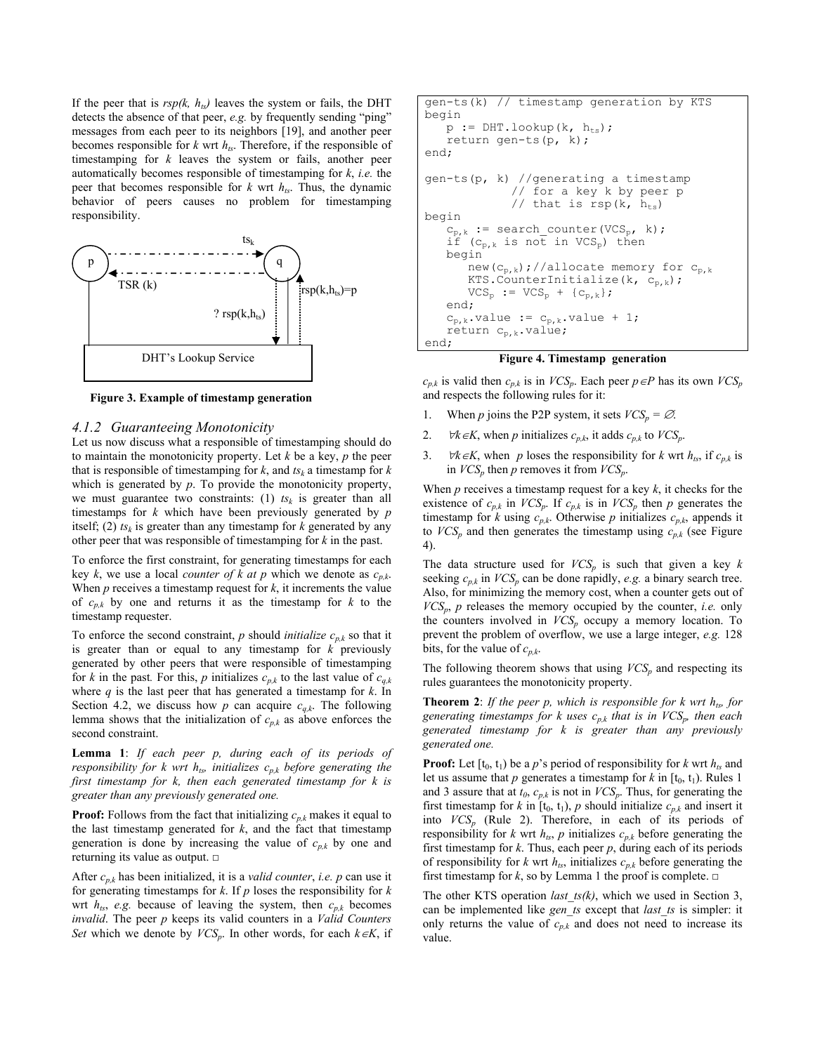If the peer that is  $rsp(k, h_{ts})$  leaves the system or fails, the DHT detects the absence of that peer, *e.g.* by frequently sending "ping" messages from each peer to its neighbors [19], and another peer becomes responsible for  $k$  wrt  $h_{ts}$ . Therefore, if the responsible of timestamping for *k* leaves the system or fails, another peer automatically becomes responsible of timestamping for *k*, *i.e.* the peer that becomes responsible for  $k$  wrt  $h_{ts}$ . Thus, the dynamic behavior of peers causes no problem for timestamping responsibility.



 **Figure 3. Example of timestamp generation** 

#### *4.1.2 Guaranteeing Monotonicity*

Let us now discuss what a responsible of timestamping should do to maintain the monotonicity property. Let *k* be a key, *p* the peer that is responsible of timestamping for  $k$ , and  $ts_k$  a timestamp for  $k$ which is generated by *p*. To provide the monotonicity property, we must guarantee two constraints: (1)  $ts_k$  is greater than all timestamps for *k* which have been previously generated by *p* itself; (2)  $ts_k$  is greater than any timestamp for  $k$  generated by any other peer that was responsible of timestamping for *k* in the past.

To enforce the first constraint, for generating timestamps for each key *k*, we use a local *counter of k at p* which we denote as *cp,k*. When *p* receives a timestamp request for *k*, it increments the value of *cp,k* by one and returns it as the timestamp for *k* to the timestamp requester.

To enforce the second constraint,  $p$  should *initialize*  $c_{p,k}$  so that it is greater than or equal to any timestamp for *k* previously generated by other peers that were responsible of timestamping for *k* in the past. For this, *p* initializes  $c_{p,k}$  to the last value of  $c_{q,k}$ where *q* is the last peer that has generated a timestamp for *k*. In Section 4.2, we discuss how  $p$  can acquire  $c_{q,k}$ . The following lemma shows that the initialization of  $c_{p,k}$  as above enforces the second constraint.

**Lemma 1**: *If each peer p, during each of its periods of responsibility for k wrt h<sub>ts</sub>, initializes*  $c_{p,k}$  *before generating the* first timestamp for k, then each generated timestamp for k is *greater than any previously generated one.*

**Proof:** Follows from the fact that initializing  $c_{nk}$  makes it equal to the last timestamp generated for  $k$ , and the fact that timestamp generation is done by increasing the value of  $c_{p,k}$  by one and returning its value as output. □

After  $c_{p,k}$  has been initialized, it is a *valid counter*, *i.e.* p can use it for generating timestamps for *k*. If *p* loses the responsibility for *k* wrt  $h_{ts}$ , *e.g.* because of leaving the system, then  $c_{p,k}$  becomes *invalid*. The peer *p* keeps its valid counters in a *Valid Counters Set* which we denote by  $VCS_p$ . In other words, for each  $k \in K$ , if

```
gen-ts(k) // timestamp generation by KTS 
begin 
   p := DHT.logkup(k, h_{ts}); return gen-ts(p, k); 
end; 
gen-ts(p, k) //generating a timestamp 
                // for a key k by peer p 
              // that is rsp(k, h_{ts})begin 
   c_{p,k} := search_counter(VCS<sub>p</sub>, k);
   if (c_{p,k} is not in VCS<sub>p</sub>) then
    begin 
       new(c_{p,k});//allocate memory for c_{p,k}KTS. CounterInitialize(k, c_{p,k});
       VCS_p := VCS_p + {c_{p,k}}; end; 
   c_{p,k}.value := c_{p,k}.value + 1;
   return c_{p,k}. value;
end;
```
#### **Figure 4. Timestamp generation**

 $c_{p,k}$  is valid then  $c_{p,k}$  is in *VCS<sub>p</sub>*. Each peer  $p \in P$  has its own *VCS<sub>p</sub>*. and respects the following rules for it:

- 1. When *p* joins the P2P system, it sets  $VCS_p = \emptyset$ .
- 2. *∀k*∈*K*, when *p* initializes  $c_{p,k}$ , it adds  $c_{p,k}$  to  $VCS_p$ .
- 3. *∀k*∈*K*, when *p* loses the responsibility for *k* wrt  $h_{ts}$ , if  $c_{p,k}$  is in  $VCS_p$  then p removes it from  $VCS_p$ .

When  $p$  receives a timestamp request for a key  $k$ , it checks for the existence of  $c_{p,k}$  in  $VCS_p$ . If  $c_{p,k}$  is in  $VCS_p$  then p generates the timestamp for *k* using  $c_{p,k}$ . Otherwise *p* initializes  $c_{p,k}$ , appends it to  $VCS_p$  and then generates the timestamp using  $c_{p,k}$  (see Figure 4).

The data structure used for  $VCS_p$  is such that given a key  $k$ seeking  $c_{p,k}$  in  $VCS_p$  can be done rapidly, e.g. a binary search tree. Also, for minimizing the memory cost, when a counter gets out of  $VCS_p$ , *p* releases the memory occupied by the counter, *i.e.* only the counters involved in  $VCS_p$  occupy a memory location. To prevent the problem of overflow, we use a large integer, *e.g.* 128 bits, for the value of  $c_{p,k}$ .

The following theorem shows that using  $VCS_p$  and respecting its rules guarantees the monotonicity property.

**Theorem 2**: *If the peer p, which is responsible for k wrt*  $h_{ts}$  *for generating timestamps for k uses*  $c_{p,k}$  that is in  $VCS_p$ , then each *generated timestamp for k is greater than any previously generated one.*

**Proof:** Let  $[t_0, t_1)$  be a *p*'s period of responsibility for *k* wrt  $h_{ts}$  and let us assume that *p* generates a timestamp for *k* in  $[t_0, t_1)$ . Rules 1 and 3 assure that at  $t_0$ ,  $c_{p,k}$  is not in  $VCS_p$ . Thus, for generating the first timestamp for *k* in  $[t_0, t_1)$ , *p* should initialize  $c_{p,k}$  and insert it into  $VCS_p$  (Rule 2). Therefore, in each of its periods of responsibility for *k* wrt  $h_{ts}$ , *p* initializes  $c_{p,k}$  before generating the first timestamp for *k*. Thus, each peer *p*, during each of its periods of responsibility for  $k$  wrt  $h_{ts}$ , initializes  $c_{p,k}$  before generating the first timestamp for  $k$ , so by Lemma 1 the proof is complete.  $\Box$ 

The other KTS operation *last\_ts(k)*, which we used in Section 3, can be implemented like *gen\_ts* except that *last\_ts* is simpler: it only returns the value of  $c_{p,k}$  and does not need to increase its value.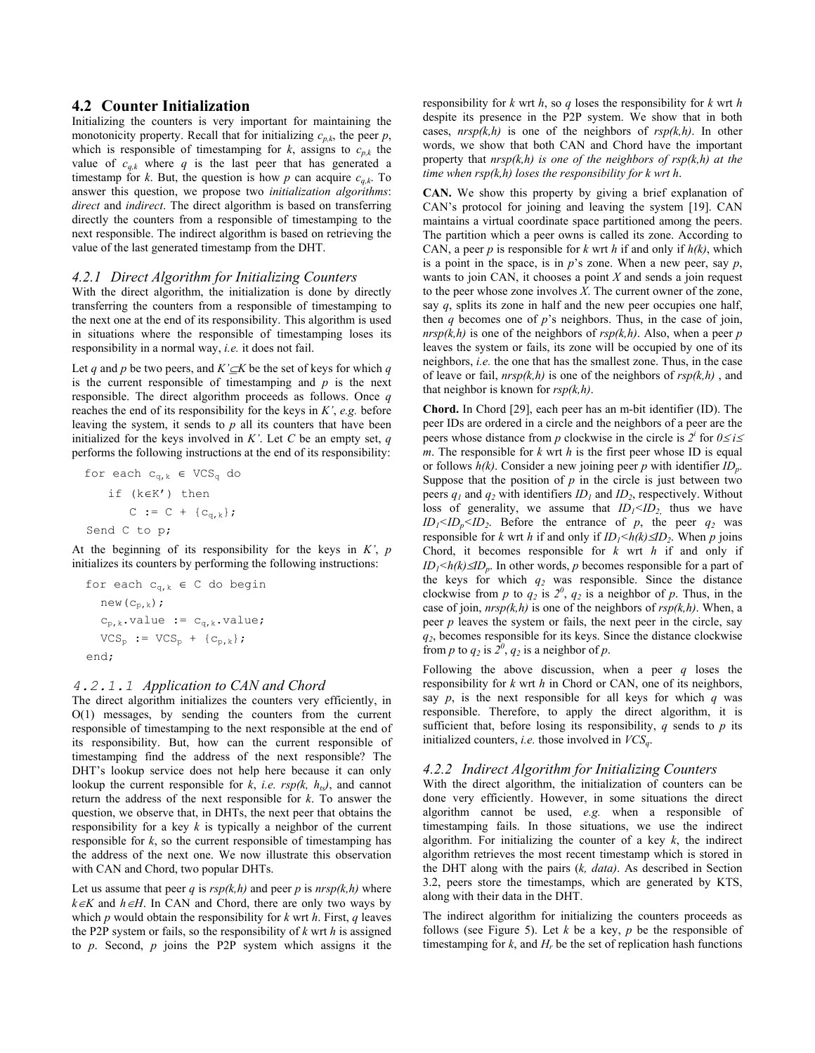#### **4.2 Counter Initialization**

Initializing the counters is very important for maintaining the monotonicity property. Recall that for initializing  $c_{p,k}$ , the peer  $p$ , which is responsible of timestamping for  $k$ , assigns to  $c_{p,k}$  the value of  $c_{a,k}$  where q is the last peer that has generated a timestamp for *k*. But, the question is how *p* can acquire  $c_{q,k}$ . To answer this question, we propose two *initialization algorithms*: *direct* and *indirect*. The direct algorithm is based on transferring directly the counters from a responsible of timestamping to the next responsible. The indirect algorithm is based on retrieving the value of the last generated timestamp from the DHT.

#### *4.2.1 Direct Algorithm for Initializing Counters*

With the direct algorithm, the initialization is done by directly transferring the counters from a responsible of timestamping to the next one at the end of its responsibility. This algorithm is used in situations where the responsible of timestamping loses its responsibility in a normal way, *i.e.* it does not fail.

Let *q* and *p* be two peers, and *K'*⊆*K* be the set of keys for which *q* is the current responsible of timestamping and *p* is the next responsible. The direct algorithm proceeds as follows. Once *q* reaches the end of its responsibility for the keys in *K'*, *e.g.* before leaving the system, it sends to *p* all its counters that have been initialized for the keys involved in  $K'$ . Let  $C$  be an empty set,  $q$ performs the following instructions at the end of its responsibility:

for each  $c_{q,k} \in VCS_q$  do if (k∈K') then  $C := C + {c_{q,k}};$ Send C to p;

At the beginning of its responsibility for the keys in *K'*, *p* initializes its counters by performing the following instructions:

for each 
$$
c_{q,k} \in C
$$
 do begin  
\nnew $(c_{p,k})$ ;  
\n $c_{p,k}$ .value :=  $c_{q,k}$ .value;  
\nVCS<sub>p</sub> := VCS<sub>p</sub> + { $c_{p,k}$ };  
\nend;

#### *4.2.1.1 Application to CAN and Chord*

The direct algorithm initializes the counters very efficiently, in O(1) messages, by sending the counters from the current responsible of timestamping to the next responsible at the end of its responsibility. But, how can the current responsible of timestamping find the address of the next responsible? The DHT's lookup service does not help here because it can only lookup the current responsible for  $k$ , *i.e.*  $rsp(k, h<sub>ts</sub>)$ , and cannot return the address of the next responsible for *k*. To answer the question, we observe that, in DHTs, the next peer that obtains the responsibility for a key *k* is typically a neighbor of the current responsible for  $k$ , so the current responsible of timestamping has the address of the next one. We now illustrate this observation with CAN and Chord, two popular DHTs.

Let us assume that peer *q* is  $rsp(k,h)$  and peer *p* is  $nrsp(k,h)$  where  $k ∈ K$  and  $h ∈ H$ . In CAN and Chord, there are only two ways by which *p* would obtain the responsibility for *k* wrt *h*. First, *q* leaves the P2P system or fails, so the responsibility of *k* wrt *h* is assigned to *p*. Second, *p* joins the P2P system which assigns it the responsibility for *k* wrt *h*, so *q* loses the responsibility for *k* wrt *h* despite its presence in the P2P system. We show that in both cases,  $nrsp(k,h)$  is one of the neighbors of  $rsp(k,h)$ . In other words, we show that both CAN and Chord have the important property that *nrsp(k,h) is one of the neighbors of rsp(k,h) at the time when rsp(k,h) loses the responsibility for k wrt h*.

**CAN.** We show this property by giving a brief explanation of CAN's protocol for joining and leaving the system [19]. CAN maintains a virtual coordinate space partitioned among the peers. The partition which a peer owns is called its zone. According to CAN, a peer *p* is responsible for *k* wrt *h* if and only if *h(k)*, which is a point in the space, is in *p*'s zone. When a new peer, say *p*, wants to join CAN, it chooses a point *X* and sends a join request to the peer whose zone involves *X*. The current owner of the zone, say *q*, splits its zone in half and the new peer occupies one half, then *q* becomes one of *p*'s neighbors. Thus, in the case of join,  $nrsp(k,h)$  is one of the neighbors of  $rsp(k,h)$ . Also, when a peer *p* leaves the system or fails, its zone will be occupied by one of its neighbors, *i.e.* the one that has the smallest zone. Thus, in the case of leave or fail, *nrsp(k,h)* is one of the neighbors of *rsp(k,h)* , and that neighbor is known for *rsp(k,h)*.

**Chord.** In Chord [29], each peer has an m-bit identifier (ID). The peer IDs are ordered in a circle and the neighbors of a peer are the peers whose distance from *p* clockwise in the circle is  $2^{i}$  for  $0 \le i \le$ *m*. The responsible for *k* wrt *h* is the first peer whose ID is equal or follows  $h(k)$ . Consider a new joining peer p with identifier  $ID_n$ . Suppose that the position of  $p$  in the circle is just between two peers  $q_1$  and  $q_2$  with identifiers  $ID_1$  and  $ID_2$ , respectively. Without loss of generality, we assume that  $ID_1 \leq ID_2$  thus we have  $ID_1 \leq ID_2 \leq ID_2$ . Before the entrance of *p*, the peer  $q_2$  was responsible for *k* wrt *h* if and only if  $ID_1 \leq h(k) \leq ID_2$ . When *p* joins Chord, it becomes responsible for *k* wrt *h* if and only if *ID<sub>1</sub>* < *h*(*k*) ≤*ID<sub>p</sub>*. In other words, *p* becomes responsible for a part of the keys for which *q2* was responsible. Since the distance clockwise from *p* to  $q_2$  is  $2^{\theta}$ ,  $q_2$  is a neighbor of *p*. Thus, in the case of join,  $nrsp(k,h)$  is one of the neighbors of  $rsp(k,h)$ . When, a peer  $p$  leaves the system or fails, the next peer in the circle, say *q2*, becomes responsible for its keys. Since the distance clockwise from *p* to  $q_2$  is  $\hat{2}^0$ ,  $q_2$  is a neighbor of *p*.

Following the above discussion, when a peer *q* loses the responsibility for *k* wrt *h* in Chord or CAN, one of its neighbors, say *p*, is the next responsible for all keys for which *q* was responsible. Therefore, to apply the direct algorithm, it is sufficient that, before losing its responsibility,  $q$  sends to  $p$  its initialized counters, *i.e.* those involved in *VCSq*.

#### *4.2.2 Indirect Algorithm for Initializing Counters*

With the direct algorithm, the initialization of counters can be done very efficiently. However, in some situations the direct algorithm cannot be used, *e.g.* when a responsible of timestamping fails. In those situations, we use the indirect algorithm. For initializing the counter of a key *k*, the indirect algorithm retrieves the most recent timestamp which is stored in the DHT along with the pairs (*k, data)*. As described in Section 3.2, peers store the timestamps, which are generated by KTS, along with their data in the DHT.

The indirect algorithm for initializing the counters proceeds as follows (see Figure 5). Let  $k$  be a key,  $p$  be the responsible of timestamping for  $k$ , and  $H_r$  be the set of replication hash functions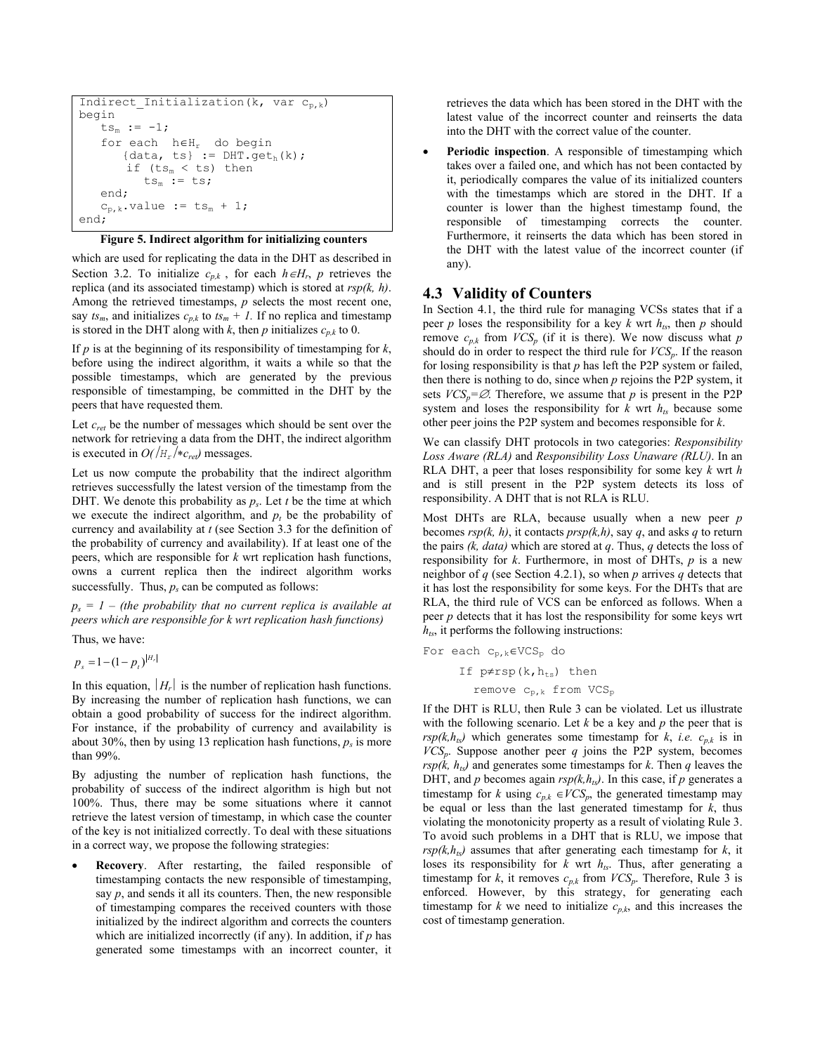```
Indirect Initialization(k, var c_{p,k})
begin 
   ts_{m} := -1; for each h∈Hr do begin 
       {data, ts} := DHT.geth(k);
       if (ts_m < ts) then
          ts_m := ts; end; 
   c_{p,k}.value := ts_m + 1;
end;
```
#### **Figure 5. Indirect algorithm for initializing counters**

which are used for replicating the data in the DHT as described in Section 3.2. To initialize  $c_{p,k}$ , for each  $h \in H_r$ ,  $p$  retrieves the replica (and its associated timestamp) which is stored at *rsp(k, h)*. Among the retrieved timestamps, *p* selects the most recent one, say  $ts_m$ , and initializes  $c_{n,k}$  to  $ts_m + 1$ . If no replica and timestamp is stored in the DHT along with  $k$ , then  $p$  initializes  $c_{p,k}$  to 0.

If  $p$  is at the beginning of its responsibility of timestamping for  $k$ , before using the indirect algorithm, it waits a while so that the possible timestamps, which are generated by the previous responsible of timestamping, be committed in the DHT by the peers that have requested them.

Let *cret* be the number of messages which should be sent over the network for retrieving a data from the DHT, the indirect algorithm is executed in  $O(|H_r| * c_{ret})$  messages.

Let us now compute the probability that the indirect algorithm retrieves successfully the latest version of the timestamp from the DHT. We denote this probability as  $p_s$ . Let *t* be the time at which we execute the indirect algorithm, and  $p_t$  be the probability of currency and availability at *t* (see Section 3.3 for the definition of the probability of currency and availability). If at least one of the peers, which are responsible for *k* wrt replication hash functions, owns a current replica then the indirect algorithm works successfully. Thus,  $p_s$  can be computed as follows:

 $p_s = 1$  – (the probability that no current replica is available at *peers which are responsible for k wrt replication hash functions)* 

Thus, we have:

 $p_s = 1 - (1 - p_t)^{|H_r|}$ 

In this equation,  $|H_r|$  is the number of replication hash functions. By increasing the number of replication hash functions, we can obtain a good probability of success for the indirect algorithm. For instance, if the probability of currency and availability is about 30%, then by using 13 replication hash functions,  $p_s$  is more than 99%.

By adjusting the number of replication hash functions, the probability of success of the indirect algorithm is high but not 100%. Thus, there may be some situations where it cannot retrieve the latest version of timestamp, in which case the counter of the key is not initialized correctly. To deal with these situations in a correct way, we propose the following strategies:

• **Recovery**. After restarting, the failed responsible of timestamping contacts the new responsible of timestamping, say  $p$ , and sends it all its counters. Then, the new responsible of timestamping compares the received counters with those initialized by the indirect algorithm and corrects the counters which are initialized incorrectly (if any). In addition, if *p* has generated some timestamps with an incorrect counter, it

retrieves the data which has been stored in the DHT with the latest value of the incorrect counter and reinserts the data into the DHT with the correct value of the counter.

Periodic inspection. A responsible of timestamping which takes over a failed one, and which has not been contacted by it, periodically compares the value of its initialized counters with the timestamps which are stored in the DHT. If a counter is lower than the highest timestamp found, the responsible of timestamping corrects the counter. Furthermore, it reinserts the data which has been stored in the DHT with the latest value of the incorrect counter (if any).

#### **4.3 Validity of Counters**

In Section 4.1, the third rule for managing VCSs states that if a peer *p* loses the responsibility for a key  $k$  wrt  $h_{ts}$ , then  $p$  should remove  $c_{p,k}$  from  $VCS_p$  (if it is there). We now discuss what p should do in order to respect the third rule for *VCSp*. If the reason for losing responsibility is that *p* has left the P2P system or failed, then there is nothing to do, since when *p* rejoins the P2P system, it sets  $VCS_p = \emptyset$ . Therefore, we assume that p is present in the P2P system and loses the responsibility for  $k$  wrt  $h_{ts}$  because some other peer joins the P2P system and becomes responsible for *k*.

We can classify DHT protocols in two categories: *Responsibility Loss Aware (RLA)* and *Responsibility Loss Unaware (RLU)*. In an RLA DHT, a peer that loses responsibility for some key *k* wrt *h* and is still present in the P2P system detects its loss of responsibility. A DHT that is not RLA is RLU.

Most DHTs are RLA, because usually when a new peer *p* becomes  $rsp(k, h)$ , it contacts  $prsp(k, h)$ , say q, and asks q to return the pairs *(k, data)* which are stored at *q*. Thus, *q* detects the loss of responsibility for *k*. Furthermore, in most of DHTs, *p* is a new neighbor of *q* (see Section 4.2.1), so when *p* arrives *q* detects that it has lost the responsibility for some keys. For the DHTs that are RLA, the third rule of VCS can be enforced as follows. When a peer *p* detects that it has lost the responsibility for some keys wrt  $h_{ts}$ , it performs the following instructions:

For each  $c_{p,k} \in VCS_p$  do

If  $p \neq rsp(k, h_{ts})$  then remove  $c_{p,k}$  from VCS<sub>p</sub>

If the DHT is RLU, then Rule 3 can be violated. Let us illustrate with the following scenario. Let *k* be a key and *p* the peer that is  $rsp(k, h_{ts})$  which generates some timestamp for *k*, *i.e.*  $c_{p,k}$  is in  $VCS_p$ . Suppose another peer *q* joins the P2P system, becomes  $rsp(k, h_{ts})$  and generates some timestamps for *k*. Then *q* leaves the DHT, and *p* becomes again  $rsp(k, h_{ts})$ . In this case, if *p* generates a timestamp for *k* using  $c_{p,k} \in VCS_p$ , the generated timestamp may be equal or less than the last generated timestamp for *k*, thus violating the monotonicity property as a result of violating Rule 3. To avoid such problems in a DHT that is RLU, we impose that  $rsp(k, h_{ts})$  assumes that after generating each timestamp for  $k$ , it loses its responsibility for  $k$  wrt  $h_{ts}$ . Thus, after generating a timestamp for *k*, it removes  $c_{p,k}$  from  $VCS_p$ . Therefore, Rule 3 is enforced. However, by this strategy, for generating each timestamp for *k* we need to initialize  $c_{p,k}$ , and this increases the cost of timestamp generation.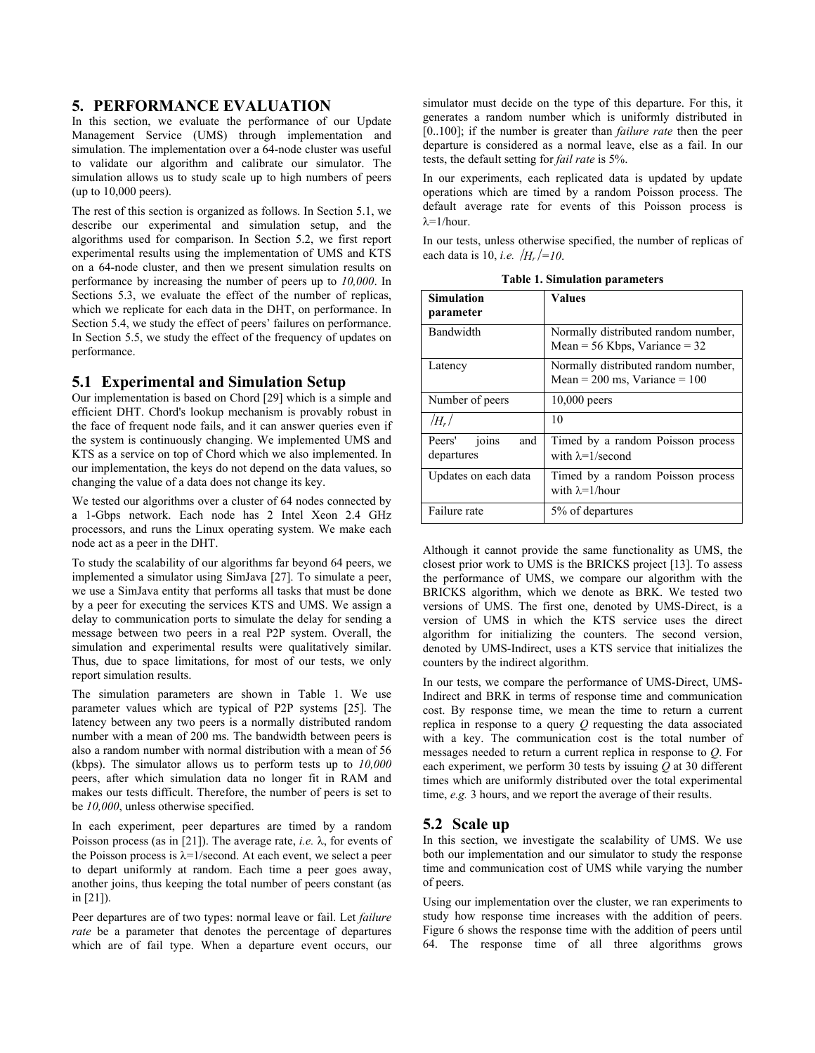## **5. PERFORMANCE EVALUATION**

In this section, we evaluate the performance of our Update Management Service (UMS) through implementation and simulation. The implementation over a 64-node cluster was useful to validate our algorithm and calibrate our simulator. The simulation allows us to study scale up to high numbers of peers (up to 10,000 peers).

The rest of this section is organized as follows. In Section 5.1, we describe our experimental and simulation setup, and the algorithms used for comparison. In Section 5.2, we first report experimental results using the implementation of UMS and KTS on a 64-node cluster, and then we present simulation results on performance by increasing the number of peers up to *10,000*. In Sections 5.3, we evaluate the effect of the number of replicas, which we replicate for each data in the DHT, on performance. In Section 5.4, we study the effect of peers' failures on performance. In Section 5.5, we study the effect of the frequency of updates on performance.

#### **5.1 Experimental and Simulation Setup**

Our implementation is based on Chord [29] which is a simple and efficient DHT. Chord's lookup mechanism is provably robust in the face of frequent node fails, and it can answer queries even if the system is continuously changing. We implemented UMS and KTS as a service on top of Chord which we also implemented. In our implementation, the keys do not depend on the data values, so changing the value of a data does not change its key.

We tested our algorithms over a cluster of 64 nodes connected by a 1-Gbps network. Each node has 2 Intel Xeon 2.4 GHz processors, and runs the Linux operating system. We make each node act as a peer in the DHT.

To study the scalability of our algorithms far beyond 64 peers, we implemented a simulator using SimJava [27]. To simulate a peer, we use a SimJava entity that performs all tasks that must be done by a peer for executing the services KTS and UMS. We assign a delay to communication ports to simulate the delay for sending a message between two peers in a real P2P system. Overall, the simulation and experimental results were qualitatively similar. Thus, due to space limitations, for most of our tests, we only report simulation results.

The simulation parameters are shown in Table 1. We use parameter values which are typical of P2P systems [25]. The latency between any two peers is a normally distributed random number with a mean of 200 ms. The bandwidth between peers is also a random number with normal distribution with a mean of 56 (kbps). The simulator allows us to perform tests up to *10,000* peers, after which simulation data no longer fit in RAM and makes our tests difficult. Therefore, the number of peers is set to be *10,000*, unless otherwise specified.

In each experiment, peer departures are timed by a random Poisson process (as in [21]). The average rate, *i.e.*  $\lambda$ , for events of the Poisson process is  $\lambda = 1$ /second. At each event, we select a peer to depart uniformly at random. Each time a peer goes away, another joins, thus keeping the total number of peers constant (as in [21]).

Peer departures are of two types: normal leave or fail. Let *failure rate* be a parameter that denotes the percentage of departures which are of fail type. When a departure event occurs, our simulator must decide on the type of this departure. For this, it generates a random number which is uniformly distributed in [0..100]; if the number is greater than *failure rate* then the peer departure is considered as a normal leave, else as a fail. In our tests, the default setting for *fail rate* is 5%.

In our experiments, each replicated data is updated by update operations which are timed by a random Poisson process. The default average rate for events of this Poisson process is  $λ=1/h$ our.

In our tests, unless otherwise specified, the number of replicas of each data is 10, *i.e.*  $/H_r$  /=10.

**Table 1. Simulation parameters** 

| <b>Simulation</b><br>parameter       | <b>Values</b>                                                            |
|--------------------------------------|--------------------------------------------------------------------------|
| Bandwidth                            | Normally distributed random number,<br>Mean = $56$ Kbps, Variance = $32$ |
| Latency                              | Normally distributed random number,<br>Mean = $200$ ms, Variance = $100$ |
| Number of peers                      | 10,000 peers                                                             |
| $/H_r/$                              | 10                                                                       |
| Peers'<br>and<br>joins<br>departures | Timed by a random Poisson process<br>with $\lambda = 1$ /second          |
| Updates on each data                 | Timed by a random Poisson process<br>with $\lambda = 1/h$ our            |
| Failure rate                         | 5% of departures                                                         |

Although it cannot provide the same functionality as UMS, the closest prior work to UMS is the BRICKS project [13]. To assess the performance of UMS, we compare our algorithm with the BRICKS algorithm, which we denote as BRK. We tested two versions of UMS. The first one, denoted by UMS-Direct, is a version of UMS in which the KTS service uses the direct algorithm for initializing the counters. The second version, denoted by UMS-Indirect, uses a KTS service that initializes the counters by the indirect algorithm.

In our tests, we compare the performance of UMS-Direct, UMS-Indirect and BRK in terms of response time and communication cost. By response time, we mean the time to return a current replica in response to a query *Q* requesting the data associated with a key. The communication cost is the total number of messages needed to return a current replica in response to *Q*. For each experiment, we perform 30 tests by issuing *Q* at 30 different times which are uniformly distributed over the total experimental time, *e.g.* 3 hours, and we report the average of their results.

## **5.2 Scale up**

In this section, we investigate the scalability of UMS. We use both our implementation and our simulator to study the response time and communication cost of UMS while varying the number of peers.

Using our implementation over the cluster, we ran experiments to study how response time increases with the addition of peers. Figure 6 shows the response time with the addition of peers until 64. The response time of all three algorithms grows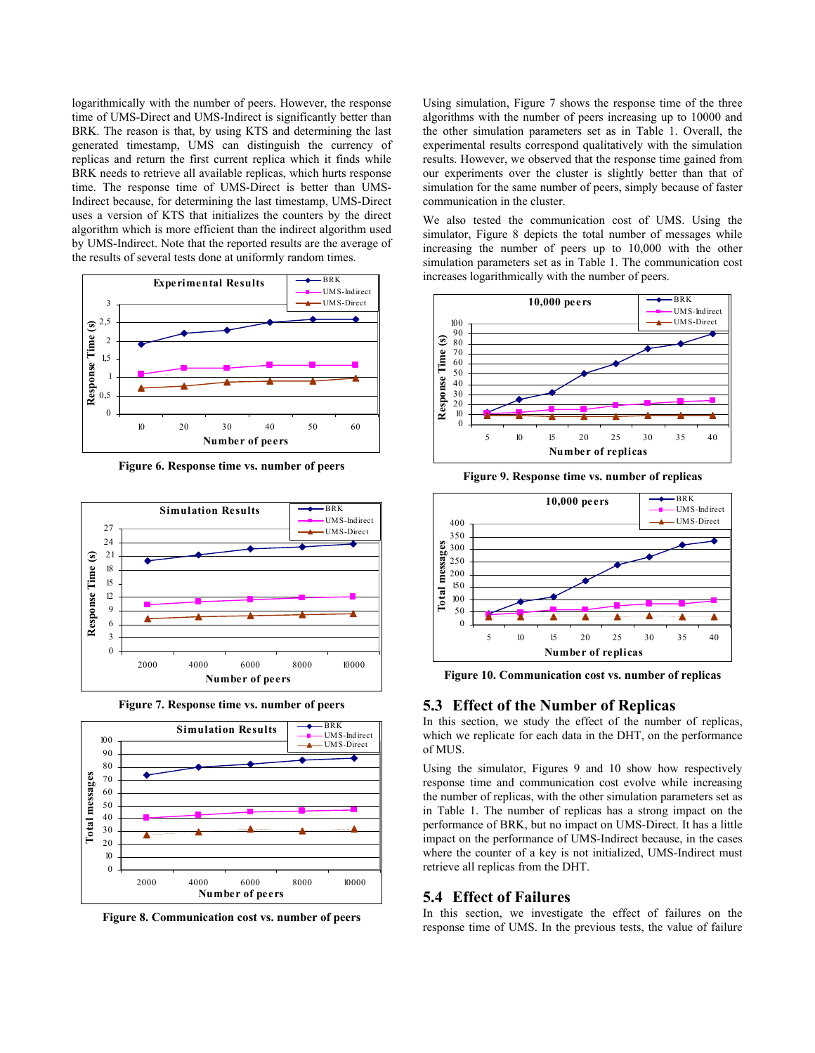logarithmically with the number of peers. However, the response time of UMS-Direct and UMS-Indirect is significantly better than BRK. The reason is that, by using KTS and determining the last generated timestamp, UMS can distinguish the currency of replicas and return the first current replica which it finds while BRK needs to retrieve all available replicas, which hurts response time. The response time of UMS-Direct is better than UMS-Indirect because, for determining the last timestamp, UMS-Direct uses a version of KTS that initializes the counters by the direct algorithm which is more efficient than the indirect algorithm used by UMS-Indirect. Note that the reported results are the average of the results of several tests done at uniformly random times.



**Figure 6. Response time vs. number of peers** 



**Figure 7. Response time vs. number of peers** 



**Figure 8. Communication cost vs. number of peers** 

Using simulation, Figure 7 shows the response time of the three algorithms with the number of peers increasing up to 10000 and the other simulation parameters set as in Table 1. Overall, the experimental results correspond qualitatively with the simulation results. However, we observed that the response time gained from our experiments over the cluster is slightly better than that of simulation for the same number of peers, simply because of faster communication in the cluster.

We also tested the communication cost of UMS. Using the simulator, Figure 8 depicts the total number of messages while increasing the number of peers up to 10,000 with the other simulation parameters set as in Table 1. The communication cost increases logarithmically with the number of peers.



**Figure 9. Response time vs. number of replicas** 



**Figure 10. Communication cost vs. number of replicas** 

#### **5.3 Effect of the Number of Replicas**

In this section, we study the effect of the number of replicas, which we replicate for each data in the DHT, on the performance of MUS.

Using the simulator, Figures 9 and 10 show how respectively response time and communication cost evolve while increasing the number of replicas, with the other simulation parameters set as in Table 1. The number of replicas has a strong impact on the performance of BRK, but no impact on UMS-Direct. It has a little impact on the performance of UMS-Indirect because, in the cases where the counter of a key is not initialized, UMS-Indirect must retrieve all replicas from the DHT.

#### **5.4 Effect of Failures**

In this section, we investigate the effect of failures on the response time of UMS. In the previous tests, the value of failure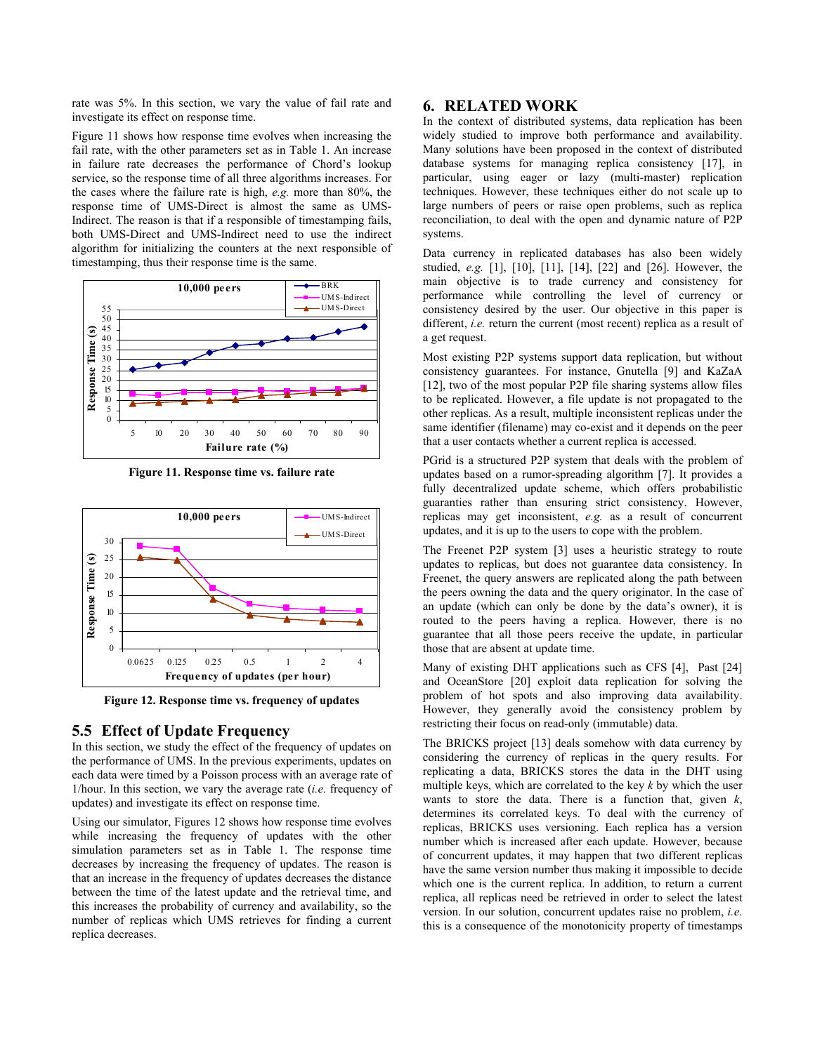rate was 5%. In this section, we vary the value of fail rate and investigate its effect on response time.

Figure 11 shows how response time evolves when increasing the fail rate, with the other parameters set as in Table 1. An increase in failure rate decreases the performance of Chord's lookup service, so the response time of all three algorithms increases. For the cases where the failure rate is high, *e.g.* more than 80%, the response time of UMS-Direct is almost the same as UMS-Indirect. The reason is that if a responsible of timestamping fails, both UMS-Direct and UMS-Indirect need to use the indirect algorithm for initializing the counters at the next responsible of timestamping, thus their response time is the same.



**Figure 11. Response time vs. failure rate** 



**Figure 12. Response time vs. frequency of updates** 

# **5.5 Effect of Update Frequency**

In this section, we study the effect of the frequency of updates on the performance of UMS. In the previous experiments, updates on each data were timed by a Poisson process with an average rate of 1/hour. In this section, we vary the average rate (*i.e.* frequency of updates) and investigate its effect on response time.

Using our simulator, Figures 12 shows how response time evolves while increasing the frequency of updates with the other simulation parameters set as in Table 1. The response time decreases by increasing the frequency of updates. The reason is that an increase in the frequency of updates decreases the distance between the time of the latest update and the retrieval time, and this increases the probability of currency and availability, so the number of replicas which UMS retrieves for finding a current replica decreases.

# **6. RELATED WORK**

In the context of distributed systems, data replication has been widely studied to improve both performance and availability. Many solutions have been proposed in the context of distributed database systems for managing replica consistency [17], in particular, using eager or lazy (multi-master) replication techniques. However, these techniques either do not scale up to large numbers of peers or raise open problems, such as replica reconciliation, to deal with the open and dynamic nature of P2P systems.

Data currency in replicated databases has also been widely studied, *e.g.* [1], [10], [11], [14], [22] and [26]. However, the main objective is to trade currency and consistency for performance while controlling the level of currency or consistency desired by the user. Our objective in this paper is different, *i.e.* return the current (most recent) replica as a result of a get request.

Most existing P2P systems support data replication, but without consistency guarantees. For instance, Gnutella [9] and KaZaA [12], two of the most popular P2P file sharing systems allow files to be replicated. However, a file update is not propagated to the other replicas. As a result, multiple inconsistent replicas under the same identifier (filename) may co-exist and it depends on the peer that a user contacts whether a current replica is accessed.

PGrid is a structured P2P system that deals with the problem of updates based on a rumor-spreading algorithm [7]. It provides a fully decentralized update scheme, which offers probabilistic guaranties rather than ensuring strict consistency. However, replicas may get inconsistent, *e.g.* as a result of concurrent updates, and it is up to the users to cope with the problem.

The Freenet P2P system [3] uses a heuristic strategy to route updates to replicas, but does not guarantee data consistency. In Freenet, the query answers are replicated along the path between the peers owning the data and the query originator. In the case of an update (which can only be done by the data's owner), it is routed to the peers having a replica. However, there is no guarantee that all those peers receive the update, in particular those that are absent at update time.

Many of existing DHT applications such as CFS [4], Past [24] and OceanStore [20] exploit data replication for solving the problem of hot spots and also improving data availability. However, they generally avoid the consistency problem by restricting their focus on read-only (immutable) data.

The BRICKS project [13] deals somehow with data currency by considering the currency of replicas in the query results. For replicating a data, BRICKS stores the data in the DHT using multiple keys, which are correlated to the key *k* by which the user wants to store the data. There is a function that, given *k*, determines its correlated keys. To deal with the currency of replicas, BRICKS uses versioning. Each replica has a version number which is increased after each update. However, because of concurrent updates, it may happen that two different replicas have the same version number thus making it impossible to decide which one is the current replica. In addition, to return a current replica, all replicas need be retrieved in order to select the latest version. In our solution, concurrent updates raise no problem, *i.e.* this is a consequence of the monotonicity property of timestamps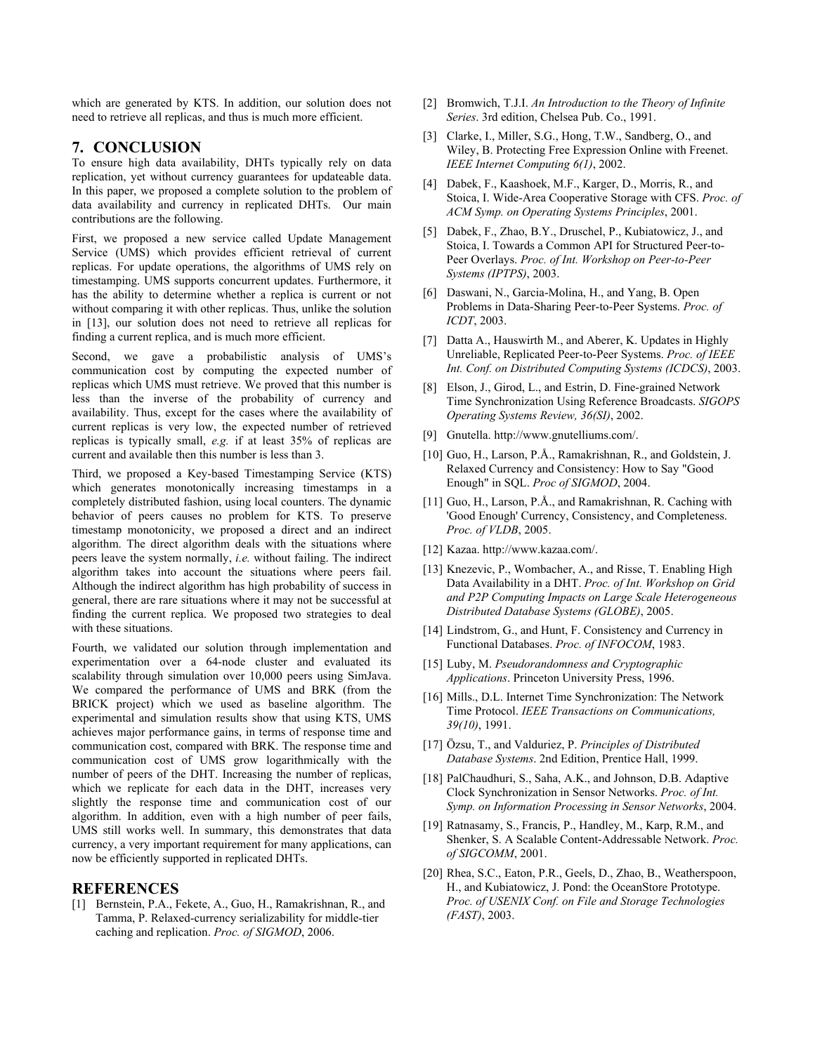which are generated by KTS. In addition, our solution does not need to retrieve all replicas, and thus is much more efficient.

#### **7. CONCLUSION**

To ensure high data availability, DHTs typically rely on data replication, yet without currency guarantees for updateable data. In this paper, we proposed a complete solution to the problem of data availability and currency in replicated DHTs. Our main contributions are the following.

First, we proposed a new service called Update Management Service (UMS) which provides efficient retrieval of current replicas. For update operations, the algorithms of UMS rely on timestamping. UMS supports concurrent updates. Furthermore, it has the ability to determine whether a replica is current or not without comparing it with other replicas. Thus, unlike the solution in [13], our solution does not need to retrieve all replicas for finding a current replica, and is much more efficient.

Second, we gave a probabilistic analysis of UMS's communication cost by computing the expected number of replicas which UMS must retrieve. We proved that this number is less than the inverse of the probability of currency and availability. Thus, except for the cases where the availability of current replicas is very low, the expected number of retrieved replicas is typically small, *e.g.* if at least 35% of replicas are current and available then this number is less than 3.

Third, we proposed a Key-based Timestamping Service (KTS) which generates monotonically increasing timestamps in a completely distributed fashion, using local counters. The dynamic behavior of peers causes no problem for KTS. To preserve timestamp monotonicity, we proposed a direct and an indirect algorithm. The direct algorithm deals with the situations where peers leave the system normally, *i.e.* without failing. The indirect algorithm takes into account the situations where peers fail. Although the indirect algorithm has high probability of success in general, there are rare situations where it may not be successful at finding the current replica. We proposed two strategies to deal with these situations.

Fourth, we validated our solution through implementation and experimentation over a 64-node cluster and evaluated its scalability through simulation over 10,000 peers using SimJava. We compared the performance of UMS and BRK (from the BRICK project) which we used as baseline algorithm. The experimental and simulation results show that using KTS, UMS achieves major performance gains, in terms of response time and communication cost, compared with BRK. The response time and communication cost of UMS grow logarithmically with the number of peers of the DHT. Increasing the number of replicas, which we replicate for each data in the DHT, increases very slightly the response time and communication cost of our algorithm. In addition, even with a high number of peer fails, UMS still works well. In summary, this demonstrates that data currency, a very important requirement for many applications, can now be efficiently supported in replicated DHTs.

## **REFERENCES**

[1] Bernstein, P.A., Fekete, A., Guo, H., Ramakrishnan, R., and Tamma, P. Relaxed-currency serializability for middle-tier caching and replication. *Proc. of SIGMOD*, 2006.

- [2] Bromwich, T.J.I. *An Introduction to the Theory of Infinite Series*. 3rd edition, Chelsea Pub. Co., 1991.
- [3] Clarke, I., Miller, S.G., Hong, T.W., Sandberg, O., and Wiley, B. Protecting Free Expression Online with Freenet. *IEEE Internet Computing 6(1)*, 2002.
- [4] Dabek, F., Kaashoek, M.F., Karger, D., Morris, R., and Stoica, I. Wide-Area Cooperative Storage with CFS. *Proc. of ACM Symp. on Operating Systems Principles*, 2001.
- [5] Dabek, F., Zhao, B.Y., Druschel, P., Kubiatowicz, J., and Stoica, I. Towards a Common API for Structured Peer-to-Peer Overlays. *Proc. of Int. Workshop on Peer-to-Peer Systems (IPTPS)*, 2003.
- [6] Daswani, N., Garcia-Molina, H., and Yang, B. Open Problems in Data-Sharing Peer-to-Peer Systems. *Proc. of ICDT*, 2003.
- [7] Datta A., Hauswirth M., and Aberer, K. Updates in Highly Unreliable, Replicated Peer-to-Peer Systems. *Proc. of IEEE Int. Conf. on Distributed Computing Systems (ICDCS)*, 2003.
- [8] Elson, J., Girod, L., and Estrin, D. Fine-grained Network Time Synchronization Using Reference Broadcasts. *SIGOPS Operating Systems Review, 36(SI)*, 2002.
- [9] Gnutella. http://www.gnutelliums.com/.
- [10] Guo, H., Larson, P.Å., Ramakrishnan, R., and Goldstein, J. Relaxed Currency and Consistency: How to Say "Good Enough" in SQL. *Proc of SIGMOD*, 2004.
- [11] Guo, H., Larson, P.Å., and Ramakrishnan, R. Caching with 'Good Enough' Currency, Consistency, and Completeness. *Proc. of VLDB*, 2005.
- [12] Kazaa. http://www.kazaa.com/.
- [13] Knezevic, P., Wombacher, A., and Risse, T. Enabling High Data Availability in a DHT. *Proc. of Int. Workshop on Grid and P2P Computing Impacts on Large Scale Heterogeneous Distributed Database Systems (GLOBE)*, 2005.
- [14] Lindstrom, G., and Hunt, F. Consistency and Currency in Functional Databases. *Proc. of INFOCOM*, 1983.
- [15] Luby, M. *Pseudorandomness and Cryptographic Applications*. Princeton University Press, 1996.
- [16] Mills., D.L. Internet Time Synchronization: The Network Time Protocol. *IEEE Transactions on Communications, 39(10)*, 1991.
- [17] Özsu, T., and Valduriez, P. *Principles of Distributed Database Systems*. 2nd Edition, Prentice Hall, 1999.
- [18] PalChaudhuri, S., Saha, A.K., and Johnson, D.B. Adaptive Clock Synchronization in Sensor Networks. *Proc. of Int. Symp. on Information Processing in Sensor Networks*, 2004.
- [19] Ratnasamy, S., Francis, P., Handley, M., Karp, R.M., and Shenker, S. A Scalable Content-Addressable Network. *Proc. of SIGCOMM*, 2001.
- [20] Rhea, S.C., Eaton, P.R., Geels, D., Zhao, B., Weatherspoon, H., and Kubiatowicz, J. Pond: the OceanStore Prototype. *Proc. of USENIX Conf. on File and Storage Technologies (FAST)*, 2003.